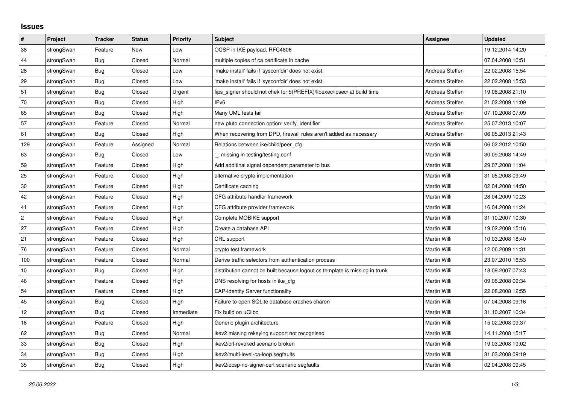## **Issues**

| $\vert$ #  | Project    | <b>Tracker</b> | <b>Status</b> | Priority  | <b>Subject</b>                                                              | <b>Assignee</b>     | <b>Updated</b>   |
|------------|------------|----------------|---------------|-----------|-----------------------------------------------------------------------------|---------------------|------------------|
| 38         | strongSwan | Feature        | <b>New</b>    | Low       | OCSP in IKE payload, RFC4806                                                |                     | 19.12.2014 14:20 |
| 44         | strongSwan | <b>Bug</b>     | Closed        | Normal    | multiple copies of ca certificate in cache                                  |                     | 07.04.2008 10:51 |
| 28         | strongSwan | Bug            | Closed        | Low       | 'make install' fails if 'sysconfdir' does not exist.                        | Andreas Steffen     | 22.02.2008 15:54 |
| 29         | strongSwan | <b>Bug</b>     | Closed        | Low       | 'make install' fails if 'sysconfdir' does not exist.                        | Andreas Steffen     | 22.02.2008 15:53 |
| 51         | strongSwan | Bug            | Closed        | Urgent    | fips signer should not chek for \$(PREFIX)/libexec/ipsec/ at build time     | Andreas Steffen     | 19.08.2008 21:10 |
| 70         | strongSwan | Bug            | Closed        | High      | IP <sub>v6</sub>                                                            | Andreas Steffen     | 21.02.2009 11:09 |
| 65         | strongSwan | Bug            | Closed        | High      | Many UML tests fail                                                         | Andreas Steffen     | 07.10.2008 07:09 |
| 57         | strongSwan | Feature        | Closed        | Normal    | new pluto connection option: verify_identifier                              | Andreas Steffen     | 25.07.2013 10:07 |
| 61         | strongSwan | Bug            | Closed        | High      | When recovering from DPD, firewall rules aren't added as necessary          | Andreas Steffen     | 06.05.2013 21:43 |
| 129        | strongSwan | Feature        | Assigned      | Normal    | Relations between ike/child/peer cfg                                        | Martin Willi        | 06.02.2012 10:50 |
| 63         | strongSwan | <b>Bug</b>     | Closed        | Low       | ' missing in testing/testing.conf                                           | Martin Willi        | 30.09.2008 14:49 |
| 59         | strongSwan | Feature        | Closed        | High      | Add additinal signal dependent parameter to bus                             | Martin Willi        | 29.07.2008 11:04 |
| 25         | strongSwan | Feature        | Closed        | High      | alternative crypto implementation                                           | <b>Martin Willi</b> | 31.05.2008 09:49 |
| $30\,$     | strongSwan | Feature        | Closed        | High      | Certificate caching                                                         | Martin Willi        | 02.04.2008 14:50 |
| 42         | strongSwan | Feature        | Closed        | High      | CFG attribute handler framework                                             | Martin Willi        | 28.04.2009 10:23 |
| 41         | strongSwan | Feature        | Closed        | High      | CFG attribute provider framework                                            | <b>Martin Willi</b> | 16.04.2008 11:24 |
| $\sqrt{2}$ | strongSwan | Feature        | Closed        | High      | Complete MOBIKE support                                                     | Martin Willi        | 31.10.2007 10:30 |
| 27         | strongSwan | Feature        | Closed        | High      | Create a database API                                                       | Martin Willi        | 19.02.2008 15:16 |
| 21         | strongSwan | Feature        | Closed        | High      | CRL support                                                                 | Martin Willi        | 10.03.2008 18:40 |
| 76         | strongSwan | Feature        | Closed        | Normal    | crypto test framework                                                       | Martin Willi        | 12.06.2009 11:31 |
| 100        | strongSwan | Feature        | Closed        | Normal    | Derive traffic selectors from authentication process                        | Martin Willi        | 23.07.2010 16:53 |
| 10         | strongSwan | Bug            | Closed        | High      | distribution cannot be built because logout cs template is missing in trunk | Martin Willi        | 18.09.2007 07:43 |
| 46         | strongSwan | Feature        | Closed        | High      | DNS resolving for hosts in ike cfg                                          | Martin Willi        | 09.06.2008 09:34 |
| 54         | strongSwan | Feature        | Closed        | High      | <b>EAP-Identity Server functionality</b>                                    | Martin Willi        | 22.08.2008 12:55 |
| 45         | strongSwan | Bug            | Closed        | High      | Failure to open SQLite database crashes charon                              | Martin Willi        | 07.04.2008 09:16 |
| 12         | strongSwan | Bug            | Closed        | Immediate | Fix build on uClibc                                                         | Martin Willi        | 31.10.2007 10:34 |
| 16         | strongSwan | Feature        | Closed        | High      | Generic plugin architecture                                                 | Martin Willi        | 15.02.2008 09:37 |
| 62         | strongSwan | <b>Bug</b>     | Closed        | Normal    | ikev2 missing rekeying support not recognised                               | Martin Willi        | 14.11.2008 15:17 |
| 33         | strongSwan | Bug            | Closed        | High      | ikev2/crl-revoked scenario broken                                           | Martin Willi        | 19.03.2008 19:02 |
| 34         | strongSwan | <b>Bug</b>     | Closed        | High      | ikev2/multi-level-ca-loop segfaults                                         | Martin Willi        | 31.03.2008 09:19 |
| 35         | strongSwan | Bug            | Closed        | High      | ikev2/ocsp-no-signer-cert scenario segfaults                                | <b>Martin Willi</b> | 02.04.2008 09:45 |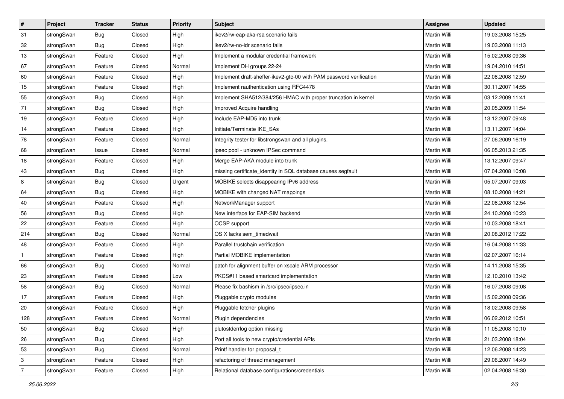| $\vert$ #      | Project    | <b>Tracker</b> | <b>Status</b> | <b>Priority</b> | <b>Subject</b>                                                      | <b>Assignee</b>     | <b>Updated</b>   |
|----------------|------------|----------------|---------------|-----------------|---------------------------------------------------------------------|---------------------|------------------|
| 31             | strongSwan | Bug            | Closed        | High            | ikev2/rw-eap-aka-rsa scenario fails                                 | Martin Willi        | 19.03.2008 15:25 |
| 32             | strongSwan | Bug            | Closed        | High            | ikev2/rw-no-idr scenario fails                                      | <b>Martin Willi</b> | 19.03.2008 11:13 |
| 13             | strongSwan | Feature        | Closed        | High            | Implement a modular credential framework                            | Martin Willi        | 15.02.2008 09:36 |
| 67             | strongSwan | Feature        | Closed        | Normal          | Implement DH groups 22-24                                           | Martin Willi        | 19.04.2010 14:51 |
| 60             | strongSwan | Feature        | Closed        | High            | Implement draft-sheffer-ikev2-gtc-00 with PAM password verification | Martin Willi        | 22.08.2008 12:59 |
| 15             | strongSwan | Feature        | Closed        | High            | Implement rauthentication using RFC4478                             | Martin Willi        | 30.11.2007 14:55 |
| 55             | strongSwan | Bug            | Closed        | High            | Implement SHA512/384/256 HMAC with proper truncation in kernel      | Martin Willi        | 03.12.2009 11:41 |
| 71             | strongSwan | Bug            | Closed        | High            | Improved Acquire handling                                           | Martin Willi        | 20.05.2009 11:54 |
| 19             | strongSwan | Feature        | Closed        | High            | Include EAP-MD5 into trunk                                          | Martin Willi        | 13.12.2007 09:48 |
| 14             | strongSwan | Feature        | Closed        | High            | Initiate/Terminate IKE_SAs                                          | Martin Willi        | 13.11.2007 14:04 |
| 78             | strongSwan | Feature        | Closed        | Normal          | Integrity tester for libstrongswan and all plugins.                 | Martin Willi        | 27.06.2009 16:19 |
| 68             | strongSwan | Issue          | Closed        | Normal          | ipsec pool - unknown IPSec command                                  | Martin Willi        | 06.05.2013 21:35 |
| 18             | strongSwan | Feature        | Closed        | High            | Merge EAP-AKA module into trunk                                     | <b>Martin Willi</b> | 13.12.2007 09:47 |
| 43             | strongSwan | Bug            | Closed        | High            | missing certificate_identity in SQL database causes segfault        | Martin Willi        | 07.04.2008 10:08 |
| 8              | strongSwan | Bug            | Closed        | Urgent          | MOBIKE selects disappearing IPv6 address                            | <b>Martin Willi</b> | 05.07.2007 09:03 |
| 64             | strongSwan | <b>Bug</b>     | Closed        | High            | MOBIKE with changed NAT mappings                                    | Martin Willi        | 08.10.2008 14:21 |
| 40             | strongSwan | Feature        | Closed        | High            | NetworkManager support                                              | <b>Martin Willi</b> | 22.08.2008 12:54 |
| 56             | strongSwan | Bug            | Closed        | High            | New interface for EAP-SIM backend                                   | Martin Willi        | 24.10.2008 10:23 |
| 22             | strongSwan | Feature        | Closed        | High            | OCSP support                                                        | Martin Willi        | 10.03.2008 18:41 |
| 214            | strongSwan | <b>Bug</b>     | Closed        | Normal          | OS X lacks sem_timedwait                                            | <b>Martin Willi</b> | 20.08.2012 17:22 |
| 48             | strongSwan | Feature        | Closed        | High            | Parallel trustchain verification                                    | Martin Willi        | 16.04.2008 11:33 |
| $\mathbf{1}$   | strongSwan | Feature        | Closed        | High            | Partial MOBIKE implementation                                       | Martin Willi        | 02.07.2007 16:14 |
| 66             | strongSwan | Bug            | Closed        | Normal          | patch for alignment buffer on xscale ARM processor                  | Martin Willi        | 14.11.2008 15:35 |
| 23             | strongSwan | Feature        | Closed        | Low             | PKCS#11 based smartcard implementation                              | Martin Willi        | 12.10.2010 13:42 |
| 58             | strongSwan | <b>Bug</b>     | Closed        | Normal          | Please fix bashism in /src/ipsec/ipsec.in                           | Martin Willi        | 16.07.2008 09:08 |
| 17             | strongSwan | Feature        | Closed        | High            | Pluggable crypto modules                                            | Martin Willi        | 15.02.2008 09:36 |
| $ 20\rangle$   | strongSwan | Feature        | Closed        | High            | Pluggable fetcher plugins                                           | Martin Willi        | 18.02.2008 09:58 |
| 128            | strongSwan | Feature        | Closed        | Normal          | Plugin dependencies                                                 | Martin Willi        | 06.02.2012 10:51 |
| 50             | strongSwan | Bug            | Closed        | High            | plutostderrlog option missing                                       | Martin Willi        | 11.05.2008 10:10 |
| 26             | strongSwan | Bug            | Closed        | High            | Port all tools to new crypto/credential APIs                        | Martin Willi        | 21.03.2008 18:04 |
| 53             | strongSwan | <b>Bug</b>     | Closed        | Normal          | Printf handler for proposal_t                                       | Martin Willi        | 12.06.2008 14:23 |
| 3              | strongSwan | Feature        | Closed        | High            | refactoring of thread management                                    | Martin Willi        | 29.06.2007 14:49 |
| $\overline{7}$ | strongSwan | Feature        | Closed        | High            | Relational database configurations/credentials                      | Martin Willi        | 02.04.2008 16:30 |